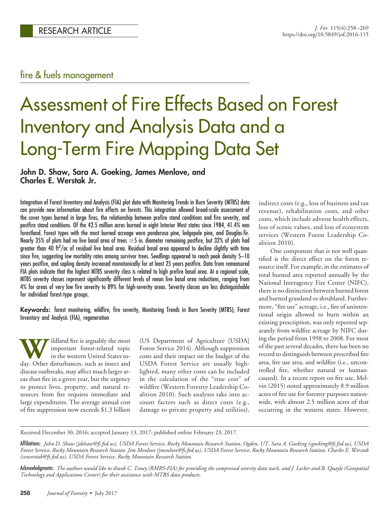# fire & fuels management

# Assessment of Fire Effects Based on Forest Inventory and Analysis Data and a Long-Term Fire Mapping Data Set

# **John D. Shaw, Sara A. Goeking, James Menlove, and Charles E. Werstak Jr.**

Integration of Forest Inventory and Analysis (FIA) plot data with Monitoring Trends in Burn Severity (MTBS) data can provide new information about fire effects on forests. This integration allowed broad-scale assessment of the cover types burned in large fires, the relationship between prefire stand conditions and fire severity, and postfire stand conditions. Of the 42.5 million acres burned in eight Interior West states since 1984, 41.4% was forestland. Forest types with the most burned acreage were ponderosa pine, lodgepole pine, and Douglas-fir. Nearly 35% of plots had no live basal area of trees  $\geq$ 5 in. diameter remaining postfire, but 32% of plots had greater than 40 ft<sup>2</sup>/ac of residual live basal area. Residual basal area appeared to decline slightly with time since fire, suggesting low mortality rates among survivor trees. Seedlings appeared to reach peak density 5–10 years postfire, and sapling density increased monotonically for at least 25 years postfire. Data from remeasured FIA plots indicate that the highest MTBS severity class is related to high prefire basal area. At a regional scale, MTBS severity classes represent significantly different levels of mean live basal area reductions, ranging from 4% for areas of very low fire severity to 89% for high-severity areas. Severity classes are less distinguishable for individual forest-type groups.

**Keywords:** forest monitoring, wildfire, fire severity, Monitoring Trends in Burn Severity (MTBS), Forest Inventory and Analysis (FIA), regeneration

W ildland fire is arguably the most<br>
in the western United States to-<br>
day. Other disturbances, such as insect and important forest-related topic in the western United States todisease outbreaks, may affect much larger areas than fire in a given year, but the urgency to protect lives, property, and natural resources from fire requires immediate and large expenditures. The average annual cost of fire suppression now exceeds \$1.3 billion

(US Department of Agriculture [USDA] Forest Service 2014). Although suppression costs and their impact on the budget of the USDA Forest Service are usually highlighted, many other costs can be included in the calculation of the "true cost" of wildfire (Western Forestry Leadership Coalition 2010). Such analyses take into account factors such as direct costs (e.g., damage to private property and utilities), indirect costs (e.g., loss of business and tax revenue), rehabilitation costs, and other costs, which include adverse health effects, loss of scenic values, and loss of ecosystem services (Western Forest Leadership Coalition 2010).

One component that is not well quantified is the direct effect on the forest resource itself. For example, in the estimates of total burned area reported annually by the National Interagency Fire Center (NIFC), there is no distinction between burned forest and burned grassland or shrubland. Furthermore, "fire use" acreage, i.e., fire of unintentional origin allowed to burn within an existing prescription, was only reported separately from wildfire acreage by NIFC during the period from 1998 to 2008. For most of the past several decades, there has been no record to distinguish between prescribed fire area, fire use area, and wildfire (i.e., uncontrolled fire, whether natural or humancaused). In a recent report on fire use, Melvin (2015) noted approximately 8.9 million acres of fire use for forestry purposes nationwide, with almost 2.5 million acres of that occurring in the western states. However,

Received December 30, 2016; accepted January 13, 2017; published online February 23, 2017.

Affiliations: *John D. Shaw (jdshaw@fs.fed.us), USDA Forest Service, Rocky Mountain Research Station, Ogden, UT. Sara A. Goeking (sgoeking@fs.fed.us), USDA Forest Service, Rocky Mountain Research Station. Jim Menlove (jmenlove@fs.fed.us), USDA Forest Service, Rocky Mountain Research Station. Charles E. Werstak (cewerstak@fs.fed.us), USDA Forest Service, Rocky Mountain Research Station.*

Acknowledgments: *The authors would like to thank C. Toney (RMRS-FIA) for providing the compressed severity data stack, and J. Lecker and B. Quayle (Geospatial Technology and Applications Center) for their assistance with MTBS data products.*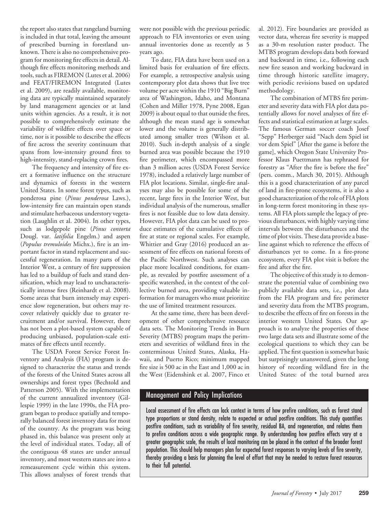the report also states that rangeland burning is included in that total, leaving the amount of prescribed burning in forestland unknown. There is also no comprehensive program for monitoring fire effects in detail. Although fire effects monitoring methods and tools, such as FIREMON (Lutes et al. 2006) and FEAT/FIREMON Integrated (Lutes et al. 2009), are readily available, monitoring data are typically maintained separately by land management agencies or at land units within agencies. As a result, it is not possible to comprehensively estimate the variability of wildfire effects over space or time, nor is it possible to describe the effects of fire across the severity continuum that spans from low-intensity ground fires to high-intensity, stand-replacing crown fires.

The frequency and intensity of fire exert a formative influence on the structure and dynamics of forests in the western United States. In some forest types, such as ponderosa pine (*Pinus ponderosa* Laws.), low-intensity fire can maintain open stands and stimulate herbaceous understory vegetation (Laughlin et al. 2004). In other types, such as lodgepole pine (*Pinus contorta* Dougl. var. *latifolia* Engelm.) and aspen (*Populus tremuloides* Michx.), fire is an important factor in stand replacement and successful regeneration. In many parts of the Interior West, a century of fire suppression has led to a buildup of fuels and stand densification, which may lead to uncharacteristically intense fires (Reinhardt et al. 2008). Some areas that burn intensely may experience slow regeneration, but others may recover relatively quickly due to greater recruitment and/or survival. However, there has not been a plot-based system capable of producing unbiased, population-scale estimates of fire effects until recently.

The USDA Forest Service Forest Inventory and Analysis (FIA) program is designed to characterize the status and trends of the forests of the United States across all ownerships and forest types (Bechtold and Patterson 2005). With the implementation of the current annualized inventory (Gillespie 1999) in the late 1990s, the FIA program began to produce spatially and temporally balanced forest inventory data for most of the country. As the program was being phased in, this balance was present only at the level of individual states. Today, all of the contiguous 48 states are under annual inventory, and most western states are into a remeasurement cycle within this system. This allows analyses of forest trends that

were not possible with the previous periodic approach to FIA inventories or even using annual inventories done as recently as 5 years ago.

To date, FIA data have been used on a limited basis for evaluation of fire effects. For example, a retrospective analysis using contemporary plot data shows that live tree volume per acre within the 1910 "Big Burn" area of Washington, Idaho, and Montana (Cohen and Miller 1978, Pyne 2008, Egan 2009) is about equal to that outside the fires, although the mean stand age is somewhat lower and the volume is generally distributed among smaller trees (Wilson et al. 2010). Such in-depth analysis of a single burned area was possible because the 1910 fire perimeter, which encompassed more than 3 million acres (USDA Forest Service 1978), included a relatively large number of FIA plot locations. Similar, single-fire analyses may also be possible for some of the recent, large fires in the Interior West, but individual analysis of the numerous, smaller fires is not feasible due to low data density. However, FIA plot data can be used to produce estimates of the cumulative effects of fire at state or regional scales. For example, Whittier and Gray (2016) produced an assessment of fire effects on national forests of the Pacific Northwest. Such analyses can place more localized conditions, for example, as revealed by postfire assessment of a specific watershed, in the context of the collective burned area, providing valuable information for managers who must prioritize the use of limited treatment resources.

At the same time, there has been development of other comprehensive resource data sets. The Monitoring Trends in Burn Severity (MTBS) program maps the perimeters and severities of wildland fires in the conterminous United States, Alaska, Hawaii, and Puerto Rico; minimum mapped fire size is 500 ac in the East and 1,000 ac in the West (Eidenshink et al. 2007, Finco et al. 2012). Fire boundaries are provided as vector data, whereas fire severity is mapped as a 30-m resolution raster product. The MTBS program develops data both forward and backward in time, i.e., following each new fire season and working backward in time through historic satellite imagery, with periodic revisions based on updated methodology.

The combination of MTBS fire perimeter and severity data with FIA plot data potentially allows for novel analyses of fire effects and statistical estimation at large scales. The famous German soccer coach Josef "Sepp" Herberger said "Nach dem Spiel ist vor dem Spiel" [After the game is before the game], which Oregon State University Professor Klaus Puettmann has rephrased for forestry as "After the fire is before the fire" (pers. comm., March 30, 2015). Although this is a good characterization of any parcel of land in fire-prone ecosystems, it is also a good characterization of the role of FIA plots in long-term forest monitoring in these systems. All FIA plots sample the legacy of previous disturbances, with highly varying time intervals between the disturbances and the time of plot visits. These data provide a baseline against which to reference the effects of disturbances yet to come. In a fire-prone ecosystem, every FIA plot visit is before the fire and after the fire.

The objective of this study is to demonstrate the potential value of combining two publicly available data sets, i.e., plot data from the FIA program and fire perimeter and severity data from the MTBS program, to describe the effects of fire on forests in the interior western United States. Our approach is to analyze the properties of these two large data sets and illustrate some of the ecological questions to which they can be applied. The first question is somewhat basic but surprisingly unanswered, given the long history of recording wildland fire in the United States: of the total burned area

# Management and Policy Implications

Local assessment of fire effects can lack context in terms of how prefire conditions, such as forest stand type proportions or stand density, relate to expected or actual postfire conditions. This study quantifies postfire conditions, such as variability of fire severity, residual BA, and regeneration, and relates them to prefire conditions across a wide geographic range. By understanding how postfire effects vary at a greater geographic scale, the results of local monitoring can be placed in the context of the broader forest population. This should help managers plan for expected forest responses to varying levels of fire severity, thereby providing a basis for planning the level of effort that may be needed to restore forest resources to their full potential.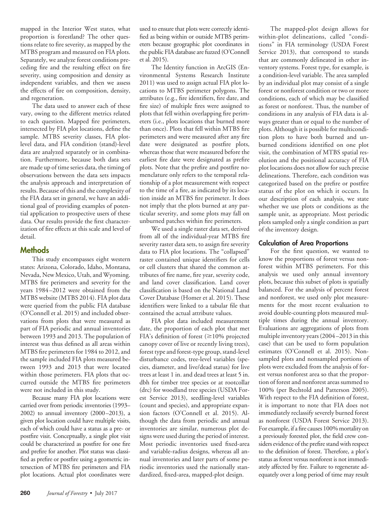mapped in the Interior West states, what proportion is forestland? The other questions relate to fire severity, as mapped by the MTBS program and measured on FIA plots. Separately, we analyze forest conditions preceding fire and the resulting effect on fire severity, using composition and density as independent variables, and then we assess the effects of fire on composition, density, and regeneration.

The data used to answer each of these vary, owing to the different metrics related to each question. Mapped fire perimeters, intersected by FIA plot locations, define the sample. MTBS severity classes, FIA plotlevel data, and FIA condition (stand)-level data are analyzed separately or in combination. Furthermore, because both data sets are made up of time series data, the timing of observations between the data sets impacts the analysis approach and interpretation of results. Because of this and the complexity of the FIA data set in general, we have an additional goal of providing examples of potential application to prospective users of these data. Our results provide the first characterization of fire effects at this scale and level of detail.

# **Methods**

This study encompasses eight western states: Arizona, Colorado, Idaho, Montana, Nevada, New Mexico, Utah, and Wyoming. MTBS fire perimeters and severity for the years 1984 –2012 were obtained from the MTBS website (MTBS 2014). FIA plot data were queried from the public FIA database (O'Connell et al. 2015) and included observations from plots that were measured as part of FIA periodic and annual inventories between 1993 and 2013. The population of interest was thus defined as all areas within MTBS fire perimeters for 1984 to 2012, and the sample included FIA plots measured between 1993 and 2013 that were located within those perimeters. FIA plots that occurred outside the MTBS fire perimeters were not included in this study.

Because many FIA plot locations were carried over from periodic inventories (1993– 2002) to annual inventory (2000 –2013), a given plot location could have multiple visits, each of which could have a status as a pre- or postfire visit. Conceptually, a single plot visit could be characterized as postfire for one fire and prefire for another. Plot status was classified as prefire or postfire using a geometric intersection of MTBS fire perimeters and FIA plot locations. Actual plot coordinates were used to ensure that plots were correctly identified as being within or outside MTBS perimeters because geographic plot coordinates in the public FIA database are fuzzed (O'Connell et al. 2015).

The Identity function in ArcGIS (Environmental Systems Research Institute 2011) was used to assign actual FIA plot locations to MTBS perimeter polygons. The attributes (e.g., fire identifiers, fire date, and fire size) of multiple fires were assigned to plots that fell within overlapping fire perimeters (i.e., plots locations that burned more than once). Plots that fell within MTBS fire perimeters and were measured after any fire date were designated as postfire plots, whereas those that were measured before the earliest fire date were designated as prefire plots. Note that the prefire and postfire nomenclature only refers to the temporal relationship of a plot measurement with respect to the time of a fire, as indicated by its location inside an MTBS fire perimeter. It does not imply that the plots burned at any particular severity, and some plots may fall on unburned patches within fire perimeters.

We used a single raster data set, derived from all of the individual-year MTBS fire severity raster data sets, to assign fire severity data to FIA plot locations. The "collapsed" raster contained unique identifiers for cells or cell clusters that shared the common attributes of fire name, fire year, severity code, and land cover classification. Land cover classification is based on the National Land Cover Database (Homer et al. 2015). These identifiers were linked to a tabular file that contained the actual attribute values.

FIA plot data included measurement date, the proportion of each plot that met FIA's definition of forest ( $\geq$ 10% projected canopy cover of live or recently living trees), forest type and forest-type group, stand-level disturbance codes, tree-level variables (species, diameter, and live/dead status) for live trees at least 1 in. and dead trees at least 5 in. dbh for timber tree species or at rootcollar (drc) for woodland tree species (USDA Forest Service 2013), seedling-level variables (count and species), and appropriate expansion factors (O'Connell et al. 2015). Although the data from periodic and annual inventories are similar, numerous plot designs were used during the period of interest. Most periodic inventories used fixed-area and variable-radius designs, whereas all annual inventories and later parts of some periodic inventories used the nationally standardized, fixed-area, mapped-plot design.

The mapped-plot design allows for within-plot delineations, called "conditions" in FIA terminology (USDA Forest Service 2013), that correspond to stands that are commonly delineated in other inventory systems. Forest type, for example, is a condition-level variable. The area sampled by an individual plot may consist of a single forest or nonforest condition or two or more conditions, each of which may be classified as forest or nonforest. Thus, the number of conditions in any analysis of FIA data is always greater than or equal to the number of plots. Although it is possible for multicondition plots to have both burned and unburned conditions identified on one plot visit, the combination of MTBS spatial resolution and the positional accuracy of FIA plot locations does not allow for such precise delineations. Therefore, each condition was categorized based on the prefire or postfire status of the plot on which it occurs. In our description of each analysis, we state whether we use plots or conditions as the sample unit, as appropriate. Most periodic plots sampled only a single condition as part of the inventory design.

### **Calculation of Area Proportions**

For the first question, we wanted to know the proportions of forest versus nonforest within MTBS perimeters. For this analysis we used only annual inventory plots, because this subset of plots is spatially balanced. For the analysis of percent forest and nonforest, we used only plot measurements for the most recent evaluation to avoid double-counting plots measured multiple times during the annual inventory. Evaluations are aggregations of plots from multiple inventory years (2004 –2013 in this case) that can be used to form population estimates (O'Connell et al. 2015). Nonsampled plots and nonsampled portions of plots were excluded from the analysis of forest versus nonforest area so that the proportion of forest and nonforest areas summed to 100% (per Bechtold and Patterson 2005). With respect to the FIA definition of forest, it is important to note that FIA does not immediately reclassify severely burned forest as nonforest (USDA Forest Service 2013). For example, if a fire causes 100% mortality on a previously forested plot, the field crew considers evidence of the prefire stand with respect to the definition of forest. Therefore, a plot's status as forest versus nonforest is not immediately affected by fire. Failure to regenerate adequately over a long period of time may result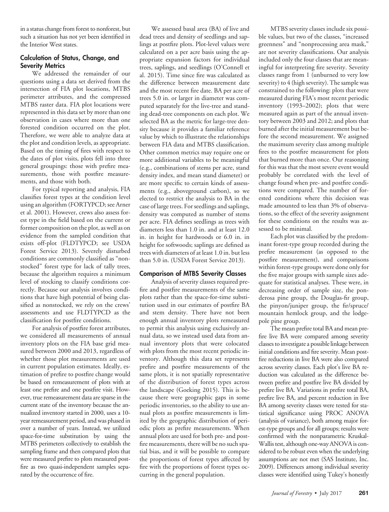in a status change from forest to nonforest, but such a situation has not yet been identified in the Interior West states.

#### **Calculation of Status, Change, and Severity Metrics**

We addressed the remainder of our questions using a data set derived from the intersection of FIA plot locations, MTBS perimeter attributes, and the compressed MTBS raster data. FIA plot locations were represented in this data set by more than one observation in cases where more than one forested condition occurred on the plot. Therefore, we were able to analyze data at the plot and condition levels, as appropriate. Based on the timing of fires with respect to the dates of plot visits, plots fell into three general groupings: those with prefire measurements, those with postfire measurements, and those with both.

For typical reporting and analysis, FIA classifies forest types at the condition level using an algorithm (FORTYPCD; see Arner et al. 2001). However, crews also assess forest type in the field based on the current or former composition on the plot, as well as on evidence from the sampled condition that exists off-plot (FLDTYPCD; see USDA Forest Service 2013). Severely disturbed conditions are commonly classified as "nonstocked" forest type for lack of tally trees, because the algorithm requires a minimum level of stocking to classify conditions correctly. Because our analysis involves conditions that have high potential of being classified as nonstocked, we rely on the crews' assessments and use FLDTYPCD as the classification for postfire conditions.

For analysis of postfire forest attributes, we considered all measurements of annual inventory plots on the FIA base grid measured between 2000 and 2013, regardless of whether those plot measurements are used in current population estimates. Ideally, estimation of prefire to postfire change would be based on remeasurement of plots with at least one prefire and one postfire visit. However, true remeasurement data are sparse in the current state of the inventory because the annualized inventory started in 2000, uses a 10 year remeasurement period, and was phased in over a number of years. Instead, we utilized space-for-time substitution by using the MTBS perimeters collectively to establish the sampling frame and then compared plots that were measured prefire to plots measured postfire as two quasi-independent samples separated by the occurrence of fire.

We assessed basal area (BA) of live and dead trees and density of seedlings and saplings at postfire plots. Plot-level values were calculated on a per acre basis using the appropriate expansion factors for individual trees, saplings, and seedlings (O'Connell et al. 2015). Time since fire was calculated as the difference between measurement date and the most recent fire date. BA per acre of trees 5.0 in. or larger in diameter was computed separately for the live-tree and standing dead-tree components on each plot. We selected BA as the metric for large-tree density because it provides a familiar reference value by which to illustrate the relationships between FIA data and MTBS classification. Other common metrics may require one or more additional variables to be meaningful (e.g., combinations of stems per acre, stand density index, and mean stand diameter) or are more specific to certain kinds of assessments (e.g., aboveground carbon), so we elected to restrict the analysis to BA in the case of large trees. For seedlings and saplings, density was computed as number of stems per acre. FIA defines seedlings as trees with diameters less than 1.0 in. and at least 12.0 in. in height for hardwoods or 6.0 in. in height for softwoods; saplings are defined as trees with diameters of at least 1.0 in. but less than 5.0 in. (USDA Forest Service 2013).

### **Comparison of MTBS Severity Classes**

Analysis of severity classes required prefire and postfire measurements of the same plots rather than the space-for-time substitution used in our estimates of postfire BA and stem density. There have not been enough annual inventory plots remeasured to permit this analysis using exclusively annual data, so we instead used data from annual inventory plots that were colocated with plots from the most recent periodic inventory. Although this data set represents prefire and postfire measurements of the same plots, it is not spatially representative of the distribution of forest types across the landscape (Goeking 2015). This is because there were geographic gaps in some periodic inventories, so the ability to use annual plots as postfire measurements is limited by the geographic distribution of periodic plots as prefire measurements. When annual plots are used for both pre- and postfire measurements, there will be no such spatial bias, and it will be possible to compare the proportions of forest types affected by fire with the proportions of forest types occurring in the general population.

MTBS severity classes include six possible values, but two of the classes, "increased greenness" and "nonprocessing area mask," are not severity classifications. Our analysis included only the four classes that are meaningful for interpreting fire severity. Severity classes range from 1 (unburned to very low severity) to 4 (high severity). The sample was constrained to the following: plots that were measured during FIA's most recent periodic inventory (1993–2002); plots that were measured again as part of the annual inventory between 2003 and 2012; and plots that burned after the initial measurement but before the second measurement. We assigned the maximum severity class among multiple fires to the postfire measurement for plots that burned more than once. Our reasoning for this was that the most severe event would probably be correlated with the level of change found when pre- and postfire conditions were compared. The number of forested conditions where this decision was made amounted to less than 3% of observations, so the effect of the severity assignment for these conditions on the results was assessed to be minimal.

Each plot was classified by the predominant forest-type group recorded during the prefire measurement (as opposed to the postfire measurement), and comparisons within forest-type groups were done only for the five major groups with sample sizes adequate for statistical analyses. These were, in decreasing order of sample size, the ponderosa pine group, the Douglas-fir group, the pinyon/juniper group, the fir/spruce/ mountain hemlock group, and the lodgepole pine group.

The mean prefire total BA and mean prefire live BA were compared among severity classes to investigate a possible linkage between initial conditions and fire severity. Mean postfire reductions in live BA were also compared across severity classes. Each plot's live BA reduction was calculated as the difference between prefire and postfire live BA divided by prefire live BA. Variations in prefire total BA, prefire live BA, and percent reduction in live BA among severity classes were tested for statistical significance using PROC ANOVA (analysis of variance), both among major forest-type groups and for all groups; results were confirmed with the nonparametric Kruskal-Wallis test, although one-way ANOVA is considered to be robust even when the underlying assumptions are not met (SAS Institute, Inc. 2009). Differences among individual severity classes were identified using Tukey's honestly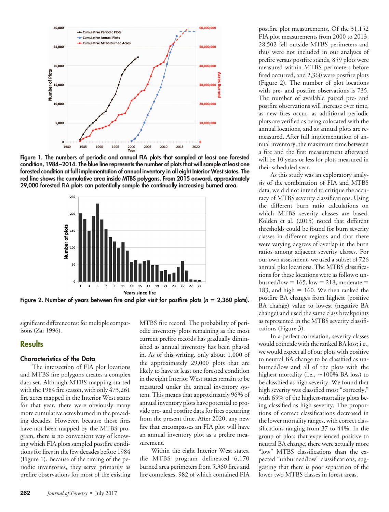

**Figure 1. The numbers of periodic and annual FIA plots that sampled at least one forested condition, 1984–2014. The blue line represents the number of plots that will sample at least one forested condition at full implementation of annual inventory in all eight Interior West states. The red line shows the cumulative area inside MTBS polygons. From 2015 onward, approximately 29,000 forested FIA plots can potentially sample the continually increasing burned area.**



**Figure 2. Number of years between fire and plot visit for postfire plots (***n* - **2,360 plots).**

significant difference test for multiple comparisons (Zar 1996).

# **Results**

#### **Characteristics of the Data**

The intersection of FIA plot locations and MTBS fire polygons creates a complex data set. Although MTBS mapping started with the 1984 fire season, with only 473,261 fire acres mapped in the Interior West states for that year, there were obviously many more cumulative acres burned in the preceding decades. However, because those fires have not been mapped by the MTBS program, there is no convenient way of knowing which FIA plots sampled postfire conditions for fires in the few decades before 1984 (Figure 1). Because of the timing of the periodic inventories, they serve primarily as prefire observations for most of the existing

MTBS fire record. The probability of periodic inventory plots remaining as the most current prefire records has gradually diminished as annual inventory has been phased in. As of this writing, only about 1,000 of the approximately 29,000 plots that are likely to have at least one forested condition in the eight Interior West states remain to be measured under the annual inventory system. This means that approximately 96% of annual inventory plots have potential to provide pre- and postfire data for fires occurring from the present time. After 2020, any new fire that encompasses an FIA plot will have an annual inventory plot as a prefire measurement.

Within the eight Interior West states, the MTBS program delineated 6,170 burned area perimeters from 5,360 fires and fire complexes, 982 of which contained FIA

postfire plot measurements. Of the 31,152 FIA plot measurements from 2000 to 2013, 28,502 fell outside MTBS perimeters and thus were not included in our analyses of prefire versus postfire stands, 859 plots were measured within MTBS perimeters before fired occurred, and 2,360 were postfire plots (Figure 2). The number of plot locations with pre- and postfire observations is 735. The number of available paired pre- and postfire observations will increase over time, as new fires occur, as additional periodic plots are verified as being colocated with the annual locations, and as annual plots are remeasured. After full implementation of annual inventory, the maximum time between a fire and the first measurement afterward will be 10 years or less for plots measured in their scheduled year.

As this study was an exploratory analysis of the combination of FIA and MTBS data, we did not intend to critique the accuracy of MTBS severity classifications. Using the different burn ratio calculations on which MTBS severity classes are based, Kolden et al. (2015) noted that different thresholds could be found for burn severity classes in different regions and that there were varying degrees of overlap in the burn ratios among adjacent severity classes. For our own assessment, we used a subset of 726 annual plot locations. The MTBS classifications for these locations were as follows: un $burned/low = 165$ ,  $low = 218$ , moderate  $=$ 183, and high  $= 160$ . We then ranked the postfire BA changes from highest (positive BA change) value to lowest (negative BA change) and used the same class breakpoints as represented in the MTBS severity classifications (Figure 3).

In a perfect correlation, severity classes would coincide with the ranked BA loss; i.e., we would expect all of our plots with positive to neutral BA change to be classified as unburned/low and all of the plots with the highest mortality (i.e.,  $\sim$ 100% BA loss) to be classified as high severity. We found that high severity was classified most "correctly," with 65% of the highest-mortality plots being classified as high severity. The proportions of correct classifications decreased in the lower mortality ranges, with correct classifications ranging from 37 to 44%. In the group of plots that experienced positive to neutral BA change, there were actually more "low" MTBS classifications than the expected "unburned/low" classifications, suggesting that there is poor separation of the lower two MTBS classes in forest areas.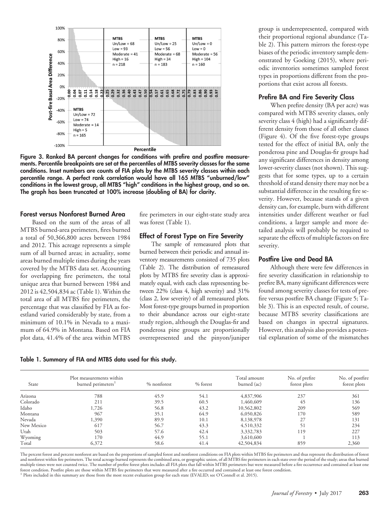

**Figure 3. Ranked BA percent changes for conditions with prefire and postfire measurements. Percentile breakpoints are set at the percentiles of MTBS severity classes for the same conditions. Inset numbers are counts of FIA plots by the MTBS severity classes within each percentile range. A perfect rank correlation would have all 165 MTBS "unburned/low" conditions in the lowest group, all MTBS "high" conditions in the highest group, and so on. The graph has been truncated at 100% increase (doubling of BA) for clarity.**

#### **Forest versus Nonforest Burned Area**

Based on the sum of the areas of all MTBS burned-area perimeters, fires burned a total of 50,366,800 acres between 1984 and 2012. This acreage represents a simple sum of all burned areas; in actuality, some areas burned multiple times during the years covered by the MTBS data set. Accounting for overlapping fire perimeters, the total unique area that burned between 1984 and 2012 is 42,504,834 ac (Table 1). Within the total area of all MTBS fire perimeters, the percentage that was classified by FIA as forestland varied considerably by state, from a minimum of 10.1% in Nevada to a maximum of 64.9% in Montana. Based on FIA plot data, 41.4% of the area within MTBS

fire perimeters in our eight-state study area was forest (Table 1).

#### **Effect of Forest Type on Fire Severity**

The sample of remeasured plots that burned between their periodic and annual inventory measurements consisted of 735 plots (Table 2). The distribution of remeasured plots by MTBS fire severity class is approximately equal, with each class representing between 22% (class 4, high severity) and 31% (class 2, low severity) of all remeasured plots. Most forest-type groups burned in proportion to their abundance across our eight-state study region, although the Douglas-fir and ponderosa pine groups are proportionally overrepresented and the pinyon/juniper group is underrepresented, compared with their proportional regional abundance (Table 2). This pattern mirrors the forest-type biases of the periodic inventory sample demonstrated by Goeking (2015), where periodic inventories sometimes sampled forest types in proportions different from the proportions that exist across all forests.

#### **Prefire BA and Fire Severity Class**

When prefire density (BA per acre) was compared with MTBS severity classes, only severity class 4 (high) had a significantly different density from those of all other classes (Figure 4). Of the five forest-type groups tested for the effect of initial BA, only the ponderosa pine and Douglas-fir groups had any significant differences in density among lower-severity classes (not shown). This suggests that for some types, up to a certain threshold of stand density there may not be a substantial difference in the resulting fire severity. However, because stands of a given density can, for example, burn with different intensities under different weather or fuel conditions, a larger sample and more detailed analysis will probably be required to separate the effects of multiple factors on fire severity.

#### **Postfire Live and Dead BA**

Although there were few differences in fire severity classification in relationship to prefire BA, many significant differences were found among severity classes for tests of prefire versus postfire BA change (Figure 5; Table 3). This is an expected result, of course, because MTBS severity classifications are based on changes in spectral signatures. However, this analysis also provides a potential explanation of some of the mismatches

**Table 1. Summary of FIA and MTBS data used for this study.**

| State      | Plot measurements within<br>burned perimeters <sup>1</sup> | % nonforest | % forest | Total amount<br>burned (ac) | No. of prefire<br>forest plots | No. of postfire<br>forest plots |
|------------|------------------------------------------------------------|-------------|----------|-----------------------------|--------------------------------|---------------------------------|
| Arizona    | 788                                                        | 45.9        | 54.1     | 4,837,906                   | 237                            | 361                             |
| Colorado   | 211                                                        | 39.5        | 60.5     | 1,460,609                   | 45                             | 136                             |
| Idaho      | 1,726                                                      | 56.8        | 43.2     | 10,562,802                  | 209                            | 569                             |
| Montana    | 967                                                        | 35.1        | 64.9     | 6,050,826                   | 170                            | 589                             |
| Nevada     | 1,390                                                      | 89.9        | 10.1     | 8,138,978                   | 27                             | 131                             |
| New Mexico | 617                                                        | 56.7        | 43.3     | 4,510,332                   | 51                             | 234                             |
| Utah       | 503                                                        | 57.6        | 42.4     | 3,332,783                   | 119                            | 227                             |
| Wyoming    | 170                                                        | 44.9        | 55.1     | 3,610,600                   |                                | 113                             |
| Total      | 6,372                                                      | 58.6        | 41.4     | 42,504,834                  | 859                            | 2,360                           |

The percent forest and percent nonforest are based on the proportions of sampled forest and nonforest conditions on FIA plots within MTBS fire perimeters and thus represent the distribution of forest and nonforest within fire perimeters. The total acreage burned represents the combined area, or geographic union, of all MTBS fire perimeters in each state over the period of the study; areas that burned multiple times were not counted twice. The number of prefire forest plots includes all FIA plots that fall within MTBS perimeters but were measured before a fire occurrence and contained at least one forest condition. Postfire plots are those within MTBS fire perimeters that were measured after a fire occurred and contained at least one forest condition. <sup>1</sup> Plots included in this summary are those from the most recent evaluation group for each state (EVALID; see O'Connell et al. 2015).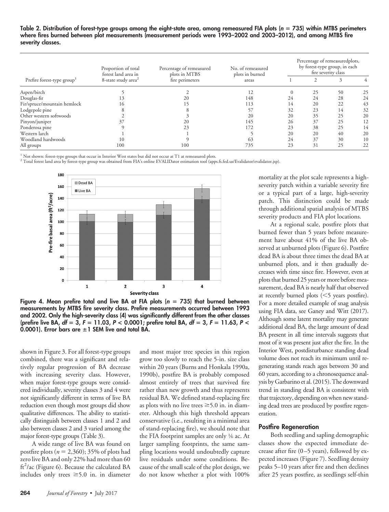Table 2. Distribution of forest-type groups among the eight-state area, among remeasured FIA plots (*n* = 735) within MTBS perimeters **where fires burned between plot measurements (measurement periods were 1993–2002 and 2003–2012), and among MTBS fire severity classes.**

|                                        | Proportion of total<br>forest land area in<br>8-state study area <sup>2</sup> | Percentage of remeasured<br>plots in MTBS<br>fire perimeters | No. of remeasured<br>plots in burned | Percentage of remeasuredplots,<br>by forest-type group, in each<br>fire severity class |    |    |    |
|----------------------------------------|-------------------------------------------------------------------------------|--------------------------------------------------------------|--------------------------------------|----------------------------------------------------------------------------------------|----|----|----|
| Prefire forest-type group <sup>1</sup> |                                                                               |                                                              | areas                                |                                                                                        |    | 3  | 4  |
| Aspen/birch                            |                                                                               |                                                              |                                      |                                                                                        | 25 | 50 | 25 |
| Douglas-fir                            |                                                                               |                                                              | 148                                  | 24                                                                                     | 24 | 28 | 24 |
| Fir/spruce/mountain hemlock            | . G                                                                           |                                                              | 113                                  | 14                                                                                     | 20 | 22 | 43 |
| Lodgepole pine                         |                                                                               |                                                              | 57                                   | 32                                                                                     | 23 | 14 | 32 |
| Other western softwoods                |                                                                               |                                                              | 20                                   | 20                                                                                     | 35 | 25 | 20 |
| Pinyon/juniper                         |                                                                               | 20                                                           | 145                                  | 26                                                                                     | 37 | 25 |    |
| Ponderosa pine                         |                                                                               |                                                              | 172                                  | 23                                                                                     | 38 | 25 | 14 |
| Western larch                          |                                                                               |                                                              |                                      | 20                                                                                     | 20 | 40 | 20 |
| Woodland hardwoods                     | .0                                                                            |                                                              | 63                                   | 24                                                                                     | 37 | 30 | 10 |
| All groups                             | 100                                                                           | 100                                                          | 735                                  | 23                                                                                     | 31 | 25 | 22 |

 $\frac{1}{2}$  Not shown: forest-type groups that occur in Interior West states but did not occur at T1 at remeasured plots.

<sup>2</sup> Total forest land area by forest-type group was obtained from FIA's online EVALIDator estimation tool (apps.fs.fed.us/Evalidator/evalidator.jsp).



**Figure 4. Mean prefire total and live BA at FIA plots (***n* - **735) that burned between measurements by MTBS fire severity class. Prefire measurements occurred between 1993 and 2002. Only the high-severity class (4) was significantly different from the other classes (prefire live BA,** *df* - **3,** *F* - **11.03,** *P* **< 0.0001; prefire total BA,** *df* - **3,** *F* - **11.63,** *P* **< 0.0001). Error bars are 1 SEM live and total BA.**

shown in Figure 3. For all forest-type groups combined, there was a significant and relatively regular progression of BA decrease with increasing severity class. However, when major forest-type groups were considered individually, severity classes 3 and 4 were not significantly different in terms of live BA reduction even though most groups did show qualitative differences. The ability to statistically distinguish between classes 1 and 2 and also between classes 2 and 3 varied among the major forest-type groups (Table 3).

A wide range of live BA was found on postfire plots ( $n = 2,360$ ); 35% of plots had zero live BA and only 22% had more than 60  $\text{ft}^2/\text{ac}$  (Figure 6). Because the calculated BA includes only trees  $\geq 5.0$  in. in diameter

and most major tree species in this region grow too slowly to reach the 5-in. size class within 20 years (Burns and Honkala 1990a, 1990b), postfire BA is probably composed almost entirely of trees that survived fire rather than new growth and thus represents residual BA. We defined stand-replacing fire as plots with no live trees  $\geq 5.0$  in. in diameter. Although this high threshold appears conservative (i.e., resulting in a minimal area of stand-replacing fire), we should note that the FIA footprint samples are only 1⁄6 ac. At larger sampling footprints, the same sampling locations would undoubtedly capture live residuals under some conditions. Because of the small scale of the plot design, we do not know whether a plot with 100%

mortality at the plot scale represents a highseverity patch within a variable severity fire or a typical part of a large, high-severity patch. This distinction could be made through additional spatial analysis of MTBS severity products and FIA plot locations.

At a regional scale, postfire plots that burned fewer than 5 years before measurement have about 41% of the live BA observed at unburned plots (Figure 6). Postfire dead BA is about three times the dead BA at unburned plots, and it then gradually decreases with time since fire. However, even at plots that burned 25 years or more before measurement, dead BA is nearly half that observed at recently burned plots (<5 years postfire). For a more detailed example of snag analysis using FIA data, see Ganey and Witt (2017). Although some latent mortality may generate additional dead BA, the large amount of dead BA present in all time intervals suggests that most of it was present just after the fire. In the Interior West, postdisturbance standing dead volume does not reach its minimum until regenerating stands reach ages between 30 and 60 years, according to a chronosequence analysis by Garbarino et al. (2015). The downward trend in standing dead BA is consistent with that trajectory, depending on when new standing dead trees are produced by postfire regeneration.

#### **Postfire Regeneration**

Both seedling and sapling demographic classes show the expected immediate decrease after fire  $(0-5$  years), followed by expected increases (Figure 7). Seedling density peaks 5–10 years after fire and then declines after 25 years postfire, as seedlings self-thin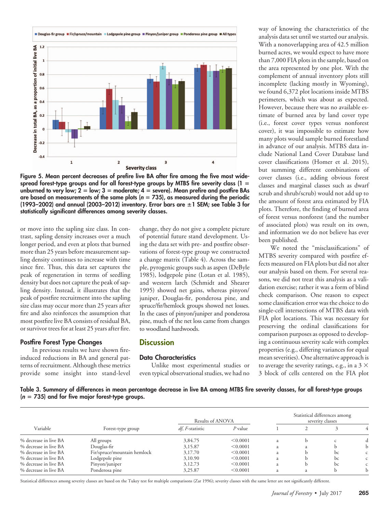

**Figure 5. Mean percent decreases of prefire live BA after fire among the five most widespread forest-type groups and for all forest-type groups by MTBS fire severity class (1** -  $\boldsymbol{\mathsf{unburned}}$  to very low; 2 = low; 3 = moderate; 4 = severe). Mean prefire and postfire BAs **are based on measurements of the same plots (***n* - **735), as measured during the periodic (1993–2002) and annual (2003–2012) inventory. Error bars are 1 SEM; see Table 3 for statistically significant differences among severity classes.**

or move into the sapling size class. In contrast, sapling density increases over a much longer period, and even at plots that burned more than 25 years before measurement sapling density continues to increase with time since fire. Thus, this data set captures the peak of regeneration in terms of seedling density but does not capture the peak of sapling density. Instead, it illustrates that the peak of postfire recruitment into the sapling size class may occur more than 25 years after fire and also reinforces the assumption that most postfire live BA consists of residual BA, or survivor trees for at least 25 years after fire.

#### **Postfire Forest Type Changes**

In previous results we have shown fireinduced reductions in BA and general patterns of recruitment. Although these metrics provide some insight into stand-level

change, they do not give a complete picture of potential future stand development. Using the data set with pre- and postfire observations of forest-type group we constructed a change matrix (Table 4). Across the sample, pyrogenic groups such as aspen (DeByle 1985), lodgepole pine (Lotan et al. 1985), and western larch (Schmidt and Shearer 1995) showed net gains, whereas pinyon/ juniper, Douglas-fir, ponderosa pine, and spruce/fir/hemlock groups showed net losses. In the cases of pinyon/juniper and ponderosa pine, much of the net loss came from changes to woodland hardwoods.

# **Discussion**

#### **Data Characteristics**

Unlike most experimental studies or even typical observational studies, we had no way of knowing the characteristics of the analysis data set until we started our analysis. With a nonoverlapping area of 42.5 million burned acres, we would expect to have more than 7,000 FIA plots in the sample, based on the area represented by one plot. With the complement of annual inventory plots still incomplete (lacking mostly in Wyoming), we found 6,372 plot locations inside MTBS perimeters, which was about as expected. However, because there was no available estimate of burned area by land cover type (i.e., forest cover types versus nonforest cover), it was impossible to estimate how many plots would sample burned forestland in advance of our analysis. MTBS data include National Land Cover Database land cover classifications (Homer et al. 2015), but summing different combinations of cover classes (i.e., adding obvious forest classes and marginal classes such as dwarf scrub and shrub/scrub) would not add up to the amount of forest area estimated by FIA plots. Therefore, the finding of burned area of forest versus nonforest (and the number of associated plots) was result on its own, and information we do not believe has ever been published.

We noted the "misclassifications" of MTBS severity compared with postfire effects measured on FIA plots but did not alter our analysis based on them. For several reasons, we did not treat this analysis as a validation exercise; rather it was a form of blind check comparison. One reason to expect some classification error was the choice to do single-cell intersections of MTBS data with FIA plot locations. This was necessary for preserving the ordinal classifications for comparison purposes as opposed to developing a continuous severity scale with complex properties (e.g., differing variances for equal mean severities). One alternative approach is to average the severity ratings, e.g., in a 3  $\times$ 3 block of cells centered on the FIA plot

**Table 3. Summary of differences in mean percentage decrease in live BA among MTBS fire severity classes, for all forest-type groups (***n* - **735) and for five major forest-type groups.**

| Variable              | Forest-type group           | Results of ANOVA | Statistical differences among<br>severity classes |   |   |    |   |
|-----------------------|-----------------------------|------------------|---------------------------------------------------|---|---|----|---|
|                       |                             | df, F-statistic  | $P$ value                                         |   |   |    | 4 |
| % decrease in live BA | All groups                  | 3.84.75          | < 0.0001                                          | a | h | U  |   |
| % decrease in live BA | Douglas-fir                 | 3,15.87          | < 0.0001                                          | a | a |    |   |
| % decrease in live BA | Fir/spruce/mountain hemlock | 3,17.70          | < 0.0001                                          | a |   | bc |   |
| % decrease in live BA | Lodgepole pine              | 3,10.90          | < 0.0001                                          | a |   | bc |   |
| % decrease in live BA | Pinyon/juniper              | 3,12.73          | < 0.0001                                          | a | h | bc |   |
| % decrease in live BA | Ponderosa pine              | 3,25.87          | < 0.0001                                          |   | a |    |   |

Statistical differences among severity classes are based on the Tukey test for multiple comparisons (Zar 1996); severity classes with the same letter are not significantly different.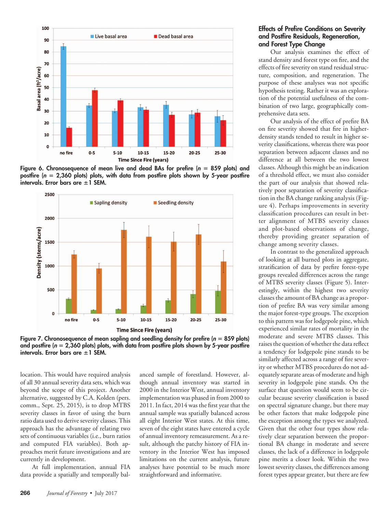

**Figure 6. Chronosequence of mean live and dead BAs for prefire (***n* - **859 plots) and postfire (***n* - **2,360 plots) plots, with data from postfire plots shown by 5-year postfire intervals. Error bars are 1 SEM.**



Figure 7. Chronosequence of mean sapling and seedling density for prefire (*n* = 859 plots) **and postfire (***n* - **2,360 plots) plots, with data from postfire plots shown by 5-year postfire intervals. Error bars are 1 SEM.**

location. This would have required analysis of all 30 annual severity data sets, which was beyond the scope of this project. Another alternative, suggested by C.A. Kolden (pers. comm., Sept. 25, 2015), is to drop MTBS severity classes in favor of using the burn ratio data used to derive severity classes. This approach has the advantage of relating two sets of continuous variables (i.e., burn ratios and computed FIA variables). Both approaches merit future investigations and are currently in development.

At full implementation, annual FIA data provide a spatially and temporally balanced sample of forestland. However, although annual inventory was started in 2000 in the Interior West, annual inventory implementation was phased in from 2000 to 2011. In fact, 2014 was the first year that the annual sample was spatially balanced across all eight Interior West states. At this time, seven of the eight states have entered a cycle of annual inventory remeasurement. As a result, although the patchy history of FIA inventory in the Interior West has imposed limitations on the current analysis, future analyses have potential to be much more straightforward and informative.

#### **Effects of Prefire Conditions on Severity and Postfire Residuals, Regeneration, and Forest Type Change**

Our analysis examines the effect of stand density and forest type on fire, and the effects of fire severity on stand residual structure, composition, and regeneration. The purpose of these analyses was not specific hypothesis testing. Rather it was an exploration of the potential usefulness of the combination of two large, geographically comprehensive data sets.

Our analysis of the effect of prefire BA on fire severity showed that fire in higherdensity stands tended to result in higher severity classifications, whereas there was poor separation between adjacent classes and no difference at all between the two lowest classes. Although this might be an indication of a threshold effect, we must also consider the part of our analysis that showed relatively poor separation of severity classification in the BA change ranking analysis (Figure 4). Perhaps improvements in severity classification procedures can result in better alignment of MTBS severity classes and plot-based observations of change, thereby providing greater separation of change among severity classes.

In contrast to the generalized approach of looking at all burned plots in aggregate, stratification of data by prefire forest-type groups revealed differences across the range of MTBS severity classes (Figure 5). Interestingly, within the highest two severity classes the amount of BA change as a proportion of prefire BA was very similar among the major forest-type groups. The exception to this pattern was for lodgepole pine, which experienced similar rates of mortality in the moderate and severe MTBS classes. This raises the question of whether the data reflect a tendency for lodgepole pine stands to be similarly affected across a range of fire severity or whether MTBS procedures do not adequately separate areas of moderate and high severity in lodgepole pine stands. On the surface that question would seem to be circular because severity classification is based on spectral signature change, but there may be other factors that make lodgepole pine the exception among the types we analyzed. Given that the other four types show relatively clear separation between the proportional BA change in moderate and severe classes, the lack of a difference in lodgepole pine merits a closer look. Within the two lowest severity classes, the differences among forest types appear greater, but there are few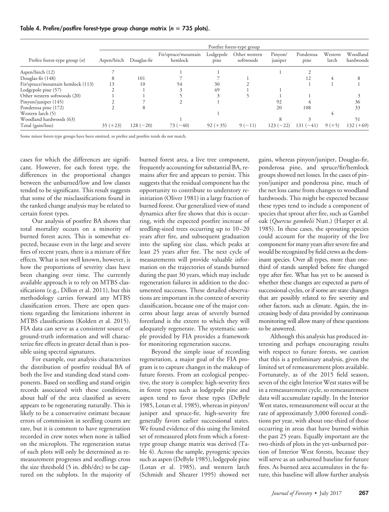Table 4. Prefire/postfire forest-type group change matrix (*n = 7*35 plots).

|                                   | Postfire forest-type group |             |                                |                   |                            |                    |                   |                  |                       |  |
|-----------------------------------|----------------------------|-------------|--------------------------------|-------------------|----------------------------|--------------------|-------------------|------------------|-----------------------|--|
| Prefire forest-type group $(n)$   | Aspen/birch                | Douglas-fir | Fir/spruce/mountain<br>hemlock | Lodgepole<br>pine | Other western<br>softwoods | Pinyon/<br>juniper | Ponderosa<br>pine | Western<br>larch | Woodland<br>hardwoods |  |
| Aspen/birch (12)                  |                            |             |                                |                   |                            |                    |                   |                  |                       |  |
| Douglas-fir (148)                 |                            | 101         |                                |                   |                            |                    |                   |                  |                       |  |
| Fir/spruce/mountain hemlock (113) | 13                         | 10          | 54                             | 30                |                            |                    |                   |                  |                       |  |
| Lodgepole pine (57)               |                            |             |                                | 49                |                            |                    |                   |                  |                       |  |
| Other western softwoods (20)      |                            |             |                                |                   |                            |                    |                   |                  |                       |  |
| Pinyon/juniper (145)              |                            |             |                                |                   |                            | 92                 |                   |                  | 36                    |  |
| Ponderosa pine (172)              |                            | δ           |                                |                   |                            | 20                 | 108               |                  | 33                    |  |
| Western larch (5)                 |                            |             |                                |                   |                            |                    |                   |                  |                       |  |
| Woodland hardwoods (63)           |                            |             |                                |                   |                            |                    |                   |                  | 51                    |  |
| Total (gain/loss)                 | $35 (+23)$                 | $128(-20)$  | $73(-40)$                      | $92 (+35)$        | $9(-11)$                   | $123(-22)$         | $131(-41)$        | $9 (+ 5)$        | $132 (+69)$           |  |

Some minor forest-type groups have been omitted, so prefire and postfire totals do not match.

cases for which the differences are significant. However, for each forest type, the differences in the proportional changes between the unburned/low and low classes tended to be significant. This result suggests that some of the misclassifications found in the ranked change analysis may be related to certain forest types.

Our analysis of postfire BA shows that total mortality occurs on a minority of burned forest acres. This is somewhat expected, because even in the large and severe fires of recent years, there is a mixture of fire effects. What is not well known, however, is how the proportions of severity class have been changing over time. The currently available approach is to rely on MTBS classifications (e.g., Dillon et al. 2011), but this methodology carries forward any MTBS classification errors. There are open questions regarding the limitations inherent in MTBS classifications (Kolden et al. 2015). FIA data can serve as a consistent source of ground-truth information and will characterize fire effects in greater detail than is possible using spectral signatures.

For example, our analysis characterizes the distribution of postfire residual BA of both the live and standing dead stand components. Based on seedling and stand origin records associated with these conditions, about half of the area classified as severe appears to be regenerating naturally. This is likely to be a conservative estimate because errors of commission in seedling counts are rare, but it is common to have regeneration recorded in crew notes when none is tallied on the microplots. The regeneration status of such plots will only be determined as remeasurement progresses and seedlings cross the size threshold (5 in. dbh/drc) to be captured on the subplots. In the majority of burned forest area, a live tree component, frequently accounting for substantial BA, remains after fire and appears to persist. This suggests that the residual component has the opportunity to contribute to understory reinitiation (Oliver 1981) in a large fraction of burned forest. Our generalized view of stand dynamics after fire shows that this is occurring, with the expected postfire increase of seedling-sized trees occurring up to  $10-20$ years after fire, and subsequent graduation into the sapling size class, which peaks at least 25 years after fire. The next cycle of measurements will provide valuable information on the trajectories of stands burned during the past 30 years, which may include regeneration failures in addition to the documented successes. These detailed observations are important in the context of severity classification, because one of the major concerns about large areas of severely burned forestland is the extent to which they will adequately regenerate. The systematic sample provided by FIA provides a framework for monitoring regeneration success.

Beyond the simple issue of recording regeneration, a major goal of the FIA program is to capture changes in the makeup of future forests. From an ecological perspective, the story is complex: high-severity fires in forest types such as lodgepole pine and aspen tend to favor these types (DeByle 1985, Lotan et al. 1985), whereas in pinyon/ juniper and spruce-fir, high-severity fire generally favors earlier successional states. We found evidence of this using the limited set of remeasured plots from which a foresttype group change matrix was derived (Table 4). Across the sample, pyrogenic species such as aspen (DeByle 1985), lodgepole pine (Lotan et al. 1985), and western larch (Schmidt and Shearer 1995) showed net

gains, whereas pinyon/juniper, Douglas-fir, ponderosa pine, and spruce/fir/hemlock groups showed net losses. In the cases of pinyon/juniper and ponderosa pine, much of the net loss came from changes to woodland hardwoods. This might be expected because these types tend to include a component of species that sprout after fire, such as Gambel oak (*Quercus gambelii* Nutt.) (Harper et al. 1985). In these cases, the sprouting species could account for the majority of the live component for many years after severe fire and would be recognized by field crews as the dominant species. Over all types, more than onethird of stands sampled before fire changed type after fire. What has yet to be assessed is whether these changes are expected as parts of successional cycles, or if some are state changes that are possibly related to fire severity and other factors, such as climate. Again, the increasing body of data provided by continuous monitoring will allow many of these questions to be answered.

Although this analysis has produced interesting and perhaps encouraging results with respect to future forests, we caution that this is a preliminary analysis, given the limited set of remeasurement plots available. Fortunately, as of the 2015 field season, seven of the eight Interior West states will be in a remeasurement cycle, so remeasurement data will accumulate rapidly. In the Interior West states, remeasurement will occur at the rate of approximately 3,000 forested conditions per year, with about one-third of those occurring in areas that have burned within the past 25 years. Equally important are the two-thirds of plots in the yet-unburned portion of Interior West forests, because they will serve as an unburned baseline for future fires. As burned area accumulates in the future, this baseline will allow further analysis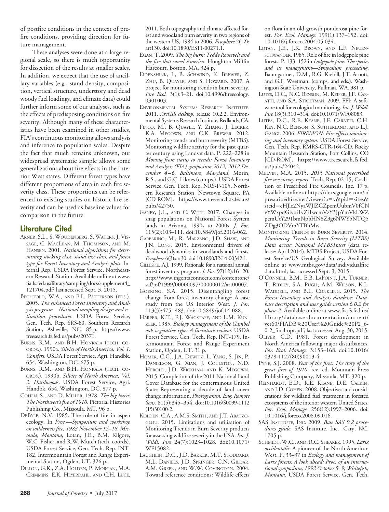of postfire conditions in the context of prefire conditions, providing direction for future management.

These analyses were done at a large regional scale, so there is much opportunity for dissection of the results at smaller scales. In addition, we expect that the use of ancillary variables (e.g., stand density, composition, vertical structure, understory and dead woody fuel loadings, and climate data) could further inform some of our analyses, such as the effects of predisposing conditions on fire severity. Although many of these characteristics have been examined in other studies, FIA's continuous monitoring allows analysis and inference to population scales. Despite the fact that much remains unknown, our widespread systematic sample allows some generalizations about fire effects in the Interior West states. Different forest types have different proportions of area in each fire severity class. These proportions can be referenced to existing studies on historic fire severity and can be used as baseline values for comparison in the future.

# **Literature Cited**

- ARNER, S.L., S. WOUDENBERG, S. WATERS, J. VIS-SAGE, C. MACLEAN, M. THOMPSON, AND M. HANSEN. 2001. *National algorithms for determining stocking class, stand size class, and forest type for Forest Inventory and Analysis plots.* Internal Rep. USDA Forest Service, Northeastern Research Station. Available online at [www.](http://www.fia.fs.fed.us/library/sampling/docs/supplement4_121704.pdf) [fia.fs.fed.us/library/sampling/docs/supplement4\\_](http://www.fia.fs.fed.us/library/sampling/docs/supplement4_121704.pdf) [121704.pdf;](http://www.fia.fs.fed.us/library/sampling/docs/supplement4_121704.pdf) last accessed Sept. 3, 2015.
- BECHTOLD, W.A., AND P.L. PATTERSON (EDS.). 2005. *The enhanced Forest Inventory and Analysis program—National sampling design and estimation procedures.* USDA Forest Service, Gen. Tech. Rep. SRS-80, Southern Research Station, Asheville, NC. 85 p. [https://www.](https://www.treesearch.fs.fed.us/pubs/20371) [treesearch.fs.fed.us/pubs/20371.](https://www.treesearch.fs.fed.us/pubs/20371)
- BURNS, R.M., AND B.H. HONKALA (TECH. CO-ORDS.). 1990a. *Silvics of North America, Vol. 1: Conifers*. USDA Forest Service, Agri. Handbk. 654, Washington, DC. 675 p.
- BURNS, R.M., AND B.H. HONKALA (TECH. CO-ORDS.). 1990b. *Silvics of North America, Vol. 2: Hardwoods*. USDA Forest Service, Agri. Handbk. 654, Washington, DC. 877 p.
- COHEN, S., AND D. MILLER. 1978. *The big burn: The Northwest's fire of 1910*. Pictorial Histories Publishing Co., Missoula, MT. 96 p.
- DEBYLE, N.V. 1985. The role of fire in aspen ecology. In *Proc.—Symposium and workshop on wilderness fire, 1983 November 15–18. Missoula, Montana*, Lotan, J.E., B.M. Kilgore, W.C. Fisher, and R.W. Mutch (tech. coords). USDA Forest Service, Gen. Tech. Rep. INT-182, Intermountain Forest and Range Experimental Station, Ogden, UT. 326 p.
- DILLON, G.K., Z.A. HOLDEN, P. MORGAN, M.A. CRIMMINS, E.K. HEYERDAHL, AND C.H. LUCE.

2011. Both topography and climate affected forest and woodland burn severity in two regions of the western US, 1984 to 2006. *Ecosphere* 2(12): art130. [doi:10.1890/ES11-00271.1.](http://dx.doi.org/10.1890/ES11-00271.1)

- EGAN, T. 2009. *The big burn: Teddy Roosevelt and the fire that saved America*. Houghton Mifflin Harcourt, Boston, MA. 324 p.
- EIDENSHINK, J., B. SCHWIND, K. BREWER, Z. ZHU, B. QUAYLE, AND S. HOWARD. 2007. A project for monitoring trends in burn severity. *Fire Ecol.* 3(1):3–21. [doi:10.4996/fireecology.](http://dx.doi.org/10.4996/fireecology.0301003) [0301003.](http://dx.doi.org/10.4996/fireecology.0301003)
- ENVIRONMENTAL SYSTEMS RESEARCH INSTITUTE. 2011. *ArcGIS desktop*, release 10.2.2. Environmental Systems Research Institute, Redlands,CA.
- FINCO, M., B. QUAYLE, Y. ZHANG, J. LECKER, K.A. MEGOWN, AND C.K. BREWER. 2012. Monitoring trends and burn severity (MTBS): Monitoring wildfire activity for the past quarter century using Landsat data. P. 222–228 in *Moving from status to trends: Forest Inventory and Analysis (FIA) symposium 2012, 2012 December 4–6, Baltimore, Maryland*, Morin, R.S., and G.C. Liknes (comps.). USDA Forest Service, Gen. Tech. Rep. NRS-P-105, Northern Research Station, Newtown Square, PA [CD-ROM]. [https://www.treesearch.fs.fed.us/](https://www.treesearch.fs.fed.us/pubs/42750) [pubs/42750.](https://www.treesearch.fs.fed.us/pubs/42750)
- GANEY, J.L., AND C. WITT. 2017. Changes in snag populations on National Forest System lands in Arizona, 1990s to 2000s. *J. For.* 115(2):103–111. [doi:10.5849/jof.2016-062.](https://doi.org/10.5849/jof.2016-062)
- GARBARINO, M., R. MARZANO, J.D. SHAW, AND J.N. LONG. 2015. Environmental drivers of deadwood dynamics in woodlands and forests. *Ecosphere* 6(3):art30. [doi:10.1890/ES14-00342.1.](http://dx.doi.org/10.1890/ES14-00342.1)
- GILLESPIE, A.J. 1999. Rationale for a national annual forest inventory program. *J. For.* 97(12):16 –20. [http://www.ingentaconnect.com/contentone/](http://www.ingentaconnect.com/contentone/saf/jof/1999/00000097/00000012/art00007) [saf/jof/1999/00000097/00000012/art00007.](http://www.ingentaconnect.com/contentone/saf/jof/1999/00000097/00000012/art00007)
- GOEKING, S.A. 2015. Disentangling forest change from forest inventory change: A case study from the US Interior West. *J. For.* 113(5):475– 483. [doi:10.5849/jof.14-088.](http://dx.doi.org/10.5849/jof.14-088)
- HARPER, K.T., F.J. WAGSTAFF, AND L.M. KUN-ZLER. 1985. *Biology management of the Gambel oak vegetative type: A literature review*. USDA Forest Service, Gen. Tech. Rep. INT-179, Intermountain Forest and Range Experiment Station, Ogden, UT. 31 p.
- HOMER, C.G., J.A. DEWITZ, L. YANG, S. JIN, P. DANIELSON, G. XIAN, J. COULSTON, N.D. HEROLD, J.D. WICKHAM, AND K. MEGOWN. 2015. Completion of the 2011 National Land Cover Database for the conterminous United States-Representing a decade of land cover change information. *Photogramm. Eng. Remote Sens.* 81(5):345–354. [doi:10.1016/S0099-1112](http://dx.doi.org/10.1016/S0099-1112(15)30100-2) [\(15\)30100-2.](http://dx.doi.org/10.1016/S0099-1112(15)30100-2)
- KOLDEN, C.A., A.M.S. SMITH, AND J.T. ABATZO-GLOU. 2015. Limitations and utilisation of Monitoring Trends in Burn Severity products for assessing wildfire severity in the USA.*Int. J. Wildl. Fire* 24(7):1023–1028. [doi:10.1071/](http://dx.doi.org/10.1071/WF15082) [WF15082.](http://dx.doi.org/10.1071/WF15082)
- LAUGHLIN, D.C., J.D. BAKKER, M.T. STODDARD, M.L. DANIELS, J.D. SPRINGER, C.N. GILDAR, A.M. GREEN, AND W.W. COVINGTON. 2004. Toward reference conditions: Wildlife effects

on flora in an old-growth ponderosa pine forest. *For. Ecol. Manage.* 199(1):137–152. [doi:](http://dx.doi.org/10.1016/j.foreco.2004.05.034) [10.1016/j.foreco.2004.05.034.](http://dx.doi.org/10.1016/j.foreco.2004.05.034)

- LOTAN, J.E., J.K. BROWN, AND L.F. NEUEN-SCHWANDER. 1985. Role of fire in lodgepole pine forests. P. 133–152 in *Lodgepole pine: The species and its management—Symposium proceeding*, Baumgartner, D.M., R.G. Krebill, J.T. Arnott, and G.F. Weetman. (comps. and eds.). Washington State University, Pullman, WA. 381 p.
- LUTES, D.C., N.C. BENSON, M. KEIFER, J.F. CAR-ATTI, AND S.A. STREETMAN. 2009. FFI: A software tool for ecological monitoring.*Int. J. Wildl. Fire* 18(3):310 –314. [doi:10.1071/WF08083.](http://dx.doi.org/10.1071/WF08083)
- LUTES, D.C., R.E. KEANE, J.F. CARATTI, C.H. KEY, N.C. BENSON, S. SUTHERLAND, AND L.J. GANGI. 2006. *FIREMON: Fire effects monitoring and inventory system.* USDA Forest Service, Gen. Tech. Rep. RMRS-GTR-164-CD, Rocky Mountain Research Station, Fort Collins, CO [CD-ROM]. [https://www.treesearch.fs.fed.](https://www.treesearch.fs.fed.us/pubs/24042) [us/pubs/24042.](https://www.treesearch.fs.fed.us/pubs/24042)
- MELVIN, M.A. 2015. *2015 National prescribed fire use survey report.* Tech. Rep. 02-15, Coalition of Prescribed Fire Councils, Inc. 17 p. Available online at [https://docs.google.com/a/](https://docs.google.com/a/prescribedfire.net/viewer?a=v&pid=sites&srcid=cHJlc2NyaWJlZGZpcmUubmV0fGNvYWxpdGlvbi1vZi1wcmVzY3JpYmVkLWZpcmUtY291bmNpbHN8Z3g6NWY5NTQ5ZDg3ODVmYTBhMw) [prescribedfire.net/viewer?a](https://docs.google.com/a/prescribedfire.net/viewer?a=v&pid=sites&srcid=cHJlc2NyaWJlZGZpcmUubmV0fGNvYWxpdGlvbi1vZi1wcmVzY3JpYmVkLWZpcmUtY291bmNpbHN8Z3g6NWY5NTQ5ZDg3ODVmYTBhMw)=v&pid=sites& srcid-[cHJlc2NyaWJlZGZpcmUubmV0fGN](https://docs.google.com/a/prescribedfire.net/viewer?a=v&pid=sites&srcid=cHJlc2NyaWJlZGZpcmUubmV0fGNvYWxpdGlvbi1vZi1wcmVzY3JpYmVkLWZpcmUtY291bmNpbHN8Z3g6NWY5NTQ5ZDg3ODVmYTBhMw) [vYWxpdGlvbi1vZi1wcmVzY3JpYmVkLWZ](https://docs.google.com/a/prescribedfire.net/viewer?a=v&pid=sites&srcid=cHJlc2NyaWJlZGZpcmUubmV0fGNvYWxpdGlvbi1vZi1wcmVzY3JpYmVkLWZpcmUtY291bmNpbHN8Z3g6NWY5NTQ5ZDg3ODVmYTBhMw) [pcmUtY291bmNpbHN8Z3g6NWY5NTQ5](https://docs.google.com/a/prescribedfire.net/viewer?a=v&pid=sites&srcid=cHJlc2NyaWJlZGZpcmUubmV0fGNvYWxpdGlvbi1vZi1wcmVzY3JpYmVkLWZpcmUtY291bmNpbHN8Z3g6NWY5NTQ5ZDg3ODVmYTBhMw) [ZDg3ODVmYTBhMw.](https://docs.google.com/a/prescribedfire.net/viewer?a=v&pid=sites&srcid=cHJlc2NyaWJlZGZpcmUubmV0fGNvYWxpdGlvbi1vZi1wcmVzY3JpYmVkLWZpcmUtY291bmNpbHN8Z3g6NWY5NTQ5ZDg3ODVmYTBhMw)
- MONITORING TRENDS IN BURN SEVERITY. 2014. *Monitoring Trends in Burn Severity (MTBS) Data access: National MTBS1taset* (data release: April 2014). MTBS Project, USDA Forest Service/US Geological Survey. Available online at [www.mtbs.gov/data/individualfire](http://www.mtbs.gov/data/individualfiredata.html) [data.html;](http://www.mtbs.gov/data/individualfiredata.html) last accessed Sept. 3, 2015.
- O'CONNELL, B.M., E.B. LAPOINT, J.A. TURNER, T. RIDLEY, S.A. PUGH, A.M. WILSON, K.L. WADDELL, AND B.L. CONKLING. 2015. *The Forest Inventory and Analysis database: Database description and user guide version 6.0.2 for phase 2.* Available online at [www.fia.fs.fed.us/](http://www.fia.fs.fed.us/library/database-documentation/current/ver60/FIADB%20User%20Guide%20P2_6-0-2_final-opt.pdf) [library/database-documentation/current/](http://www.fia.fs.fed.us/library/database-documentation/current/ver60/FIADB%20User%20Guide%20P2_6-0-2_final-opt.pdf) [ver60/FIADB%20User%20Guide%20P2\\_6-](http://www.fia.fs.fed.us/library/database-documentation/current/ver60/FIADB%20User%20Guide%20P2_6-0-2_final-opt.pdf) [0-2\\_final-opt.pdf;](http://www.fia.fs.fed.us/library/database-documentation/current/ver60/FIADB%20User%20Guide%20P2_6-0-2_final-opt.pdf) last accessed Aug. 30, 2015.
- OLIVER, C.D. 1981. Forest development in North America following major disturbances. *For. Ecol. Manage.* 3:153–168. [doi:10.1016/](http://dx.doi.org/10.1016/0378-1127(80)90013-4) [0378-1127\(80\)90013-4.](http://dx.doi.org/10.1016/0378-1127(80)90013-4)
- PYNE, S.J. 2008. *Year of the fires: The story of the great fires of 1910*, rev. ed. Mountain Press Publishing Company, Missoula, MT. 320 p.
- REINHARDT, E.D., R.E. KEANE, D.E. CALKIN, AND J.D. COHEN. 2008. Objectives and considerations for wildland fuel treatment in forested ecosystems of the interior western United States. *For. Ecol. Manage.* 256(12):1997–2006. [doi:](http://dx.doi.org/10.1016/j.foreco.2008.09.016) [10.1016/j.foreco.2008.09.016.](http://dx.doi.org/10.1016/j.foreco.2008.09.016)
- SAS INSTITUTE, INC. 2009. *Base SAS 9.2 procedures guide*. SAS Institute, Inc., Cary, NC. 1705 p.
- SCHMIDT, W.C., AND; R.C. SHEARER. 1995. *Larix occidentalis*: A pioneer of the North American West. P. 33–37 in *Ecology and management of Larix forests: A look ahead: Proc. of an international symposium, 1992 October 5–9; Whitefish, Montana*. USDA Forest Service, Gen. Tech.